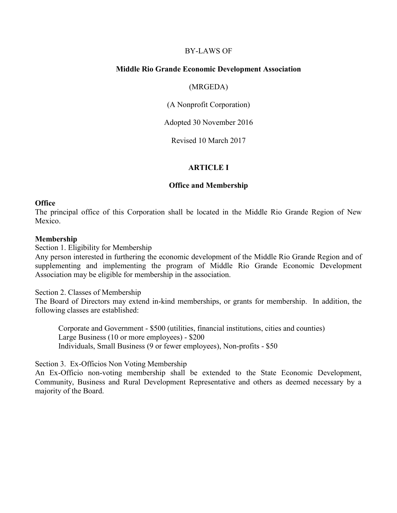## BY-LAWS OF

## **Middle Rio Grande Economic Development Association**

#### (MRGEDA)

(A Nonprofit Corporation)

Adopted 30 November 2016

Revised 10 March 2017

## **ARTICLE I**

#### **Office and Membership**

#### **Office**

The principal office of this Corporation shall be located in the Middle Rio Grande Region of New Mexico.

#### **Membership**

Section 1. Eligibility for Membership

Any person interested in furthering the economic development of the Middle Rio Grande Region and of supplementing and implementing the program of Middle Rio Grande Economic Development Association may be eligible for membership in the association.

Section 2. Classes of Membership

The Board of Directors may extend in-kind memberships, or grants for membership. In addition, the following classes are established:

Corporate and Government - \$500 (utilities, financial institutions, cities and counties) Large Business (10 or more employees) - \$200 Individuals, Small Business (9 or fewer employees), Non-profits - \$50

Section 3. Ex-Officios Non Voting Membership

An Ex-Officio non-voting membership shall be extended to the State Economic Development, Community, Business and Rural Development Representative and others as deemed necessary by a majority of the Board.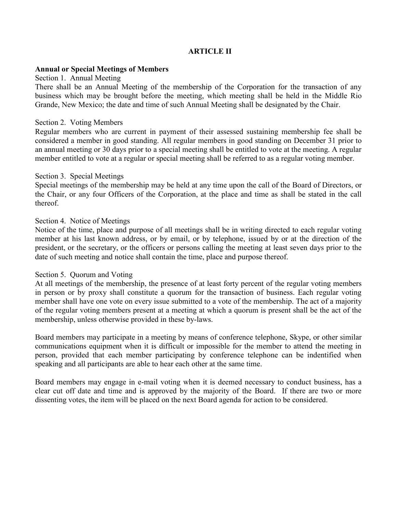## **ARTICLE II**

## **Annual or Special Meetings of Members**

#### Section 1. Annual Meeting

There shall be an Annual Meeting of the membership of the Corporation for the transaction of any business which may be brought before the meeting, which meeting shall be held in the Middle Rio Grande, New Mexico; the date and time of such Annual Meeting shall be designated by the Chair.

#### Section 2. Voting Members

Regular members who are current in payment of their assessed sustaining membership fee shall be considered a member in good standing. All regular members in good standing on December 31 prior to an annual meeting or 30 days prior to a special meeting shall be entitled to vote at the meeting. A regular member entitled to vote at a regular or special meeting shall be referred to as a regular voting member.

## Section 3. Special Meetings

Special meetings of the membership may be held at any time upon the call of the Board of Directors, or the Chair, or any four Officers of the Corporation, at the place and time as shall be stated in the call thereof.

## Section 4. Notice of Meetings

Notice of the time, place and purpose of all meetings shall be in writing directed to each regular voting member at his last known address, or by email, or by telephone, issued by or at the direction of the president, or the secretary, or the officers or persons calling the meeting at least seven days prior to the date of such meeting and notice shall contain the time, place and purpose thereof.

#### Section 5. Quorum and Voting

At all meetings of the membership, the presence of at least forty percent of the regular voting members in person or by proxy shall constitute a quorum for the transaction of business. Each regular voting member shall have one vote on every issue submitted to a vote of the membership. The act of a majority of the regular voting members present at a meeting at which a quorum is present shall be the act of the membership, unless otherwise provided in these by-laws.

Board members may participate in a meeting by means of conference telephone, Skype, or other similar communications equipment when it is difficult or impossible for the member to attend the meeting in person, provided that each member participating by conference telephone can be indentified when speaking and all participants are able to hear each other at the same time.

Board members may engage in e-mail voting when it is deemed necessary to conduct business, has a clear cut off date and time and is approved by the majority of the Board. If there are two or more dissenting votes, the item will be placed on the next Board agenda for action to be considered.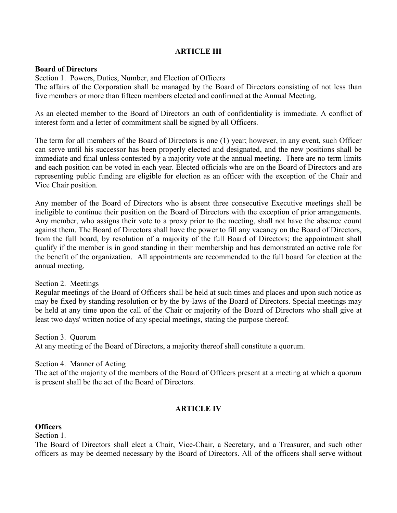## **ARTICLE III**

## **Board of Directors**

Section 1. Powers, Duties, Number, and Election of Officers

The affairs of the Corporation shall be managed by the Board of Directors consisting of not less than five members or more than fifteen members elected and confirmed at the Annual Meeting.

As an elected member to the Board of Directors an oath of confidentiality is immediate. A conflict of interest form and a letter of commitment shall be signed by all Officers.

The term for all members of the Board of Directors is one (1) year; however, in any event, such Officer can serve until his successor has been properly elected and designated, and the new positions shall be immediate and final unless contested by a majority vote at the annual meeting. There are no term limits and each position can be voted in each year. Elected officials who are on the Board of Directors and are representing public funding are eligible for election as an officer with the exception of the Chair and Vice Chair position.

Any member of the Board of Directors who is absent three consecutive Executive meetings shall be ineligible to continue their position on the Board of Directors with the exception of prior arrangements. Any member, who assigns their vote to a proxy prior to the meeting, shall not have the absence count against them. The Board of Directors shall have the power to fill any vacancy on the Board of Directors, from the full board, by resolution of a majority of the full Board of Directors; the appointment shall qualify if the member is in good standing in their membership and has demonstrated an active role for the benefit of the organization. All appointments are recommended to the full board for election at the annual meeting.

## Section 2. Meetings

Regular meetings of the Board of Officers shall be held at such times and places and upon such notice as may be fixed by standing resolution or by the by-laws of the Board of Directors. Special meetings may be held at any time upon the call of the Chair or majority of the Board of Directors who shall give at least two days' written notice of any special meetings, stating the purpose thereof.

Section 3. Quorum

At any meeting of the Board of Directors, a majority thereof shall constitute a quorum.

#### Section 4. Manner of Acting

The act of the majority of the members of the Board of Officers present at a meeting at which a quorum is present shall be the act of the Board of Directors.

## **ARTICLE IV**

## **Officers**

Section 1.

The Board of Directors shall elect a Chair, Vice-Chair, a Secretary, and a Treasurer, and such other officers as may be deemed necessary by the Board of Directors. All of the officers shall serve without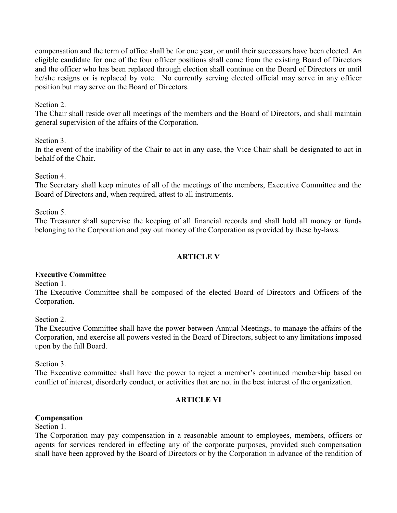compensation and the term of office shall be for one year, or until their successors have been elected. An eligible candidate for one of the four officer positions shall come from the existing Board of Directors and the officer who has been replaced through election shall continue on the Board of Directors or until he/she resigns or is replaced by vote. No currently serving elected official may serve in any officer position but may serve on the Board of Directors.

## Section 2.

The Chair shall reside over all meetings of the members and the Board of Directors, and shall maintain general supervision of the affairs of the Corporation.

## Section 3.

In the event of the inability of the Chair to act in any case, the Vice Chair shall be designated to act in behalf of the Chair.

Section 4.

The Secretary shall keep minutes of all of the meetings of the members, Executive Committee and the Board of Directors and, when required, attest to all instruments.

Section 5.

The Treasurer shall supervise the keeping of all financial records and shall hold all money or funds belonging to the Corporation and pay out money of the Corporation as provided by these by-laws.

## **ARTICLE V**

## **Executive Committee**

Section 1.

The Executive Committee shall be composed of the elected Board of Directors and Officers of the Corporation.

Section 2.

The Executive Committee shall have the power between Annual Meetings, to manage the affairs of the Corporation, and exercise all powers vested in the Board of Directors, subject to any limitations imposed upon by the full Board.

Section 3.

The Executive committee shall have the power to reject a member's continued membership based on conflict of interest, disorderly conduct, or activities that are not in the best interest of the organization.

## **ARTICLE VI**

## **Compensation**

Section 1.

The Corporation may pay compensation in a reasonable amount to employees, members, officers or agents for services rendered in effecting any of the corporate purposes, provided such compensation shall have been approved by the Board of Directors or by the Corporation in advance of the rendition of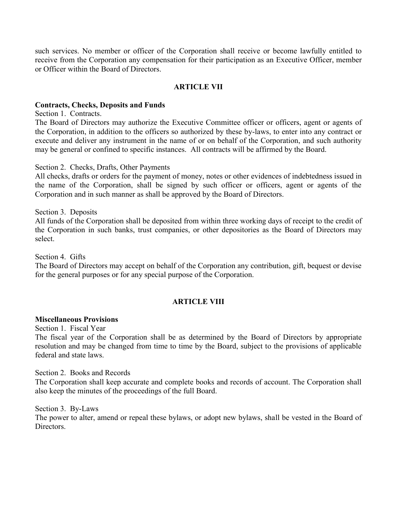such services. No member or officer of the Corporation shall receive or become lawfully entitled to receive from the Corporation any compensation for their participation as an Executive Officer, member or Officer within the Board of Directors.

## **ARTICLE VII**

## **Contracts, Checks, Deposits and Funds**

Section 1. Contracts.

The Board of Directors may authorize the Executive Committee officer or officers, agent or agents of the Corporation, in addition to the officers so authorized by these by-laws, to enter into any contract or execute and deliver any instrument in the name of or on behalf of the Corporation, and such authority may be general or confined to specific instances. All contracts will be affirmed by the Board.

#### Section 2. Checks, Drafts, Other Payments

All checks, drafts or orders for the payment of money, notes or other evidences of indebtedness issued in the name of the Corporation, shall be signed by such officer or officers, agent or agents of the Corporation and in such manner as shall be approved by the Board of Directors.

Section 3. Deposits All funds of the Corporation shall be deposited from within three working days of receipt to the credit of the Corporation in such banks, trust companies, or other depositories as the Board of Directors may select.

Section 4. Gifts

The Board of Directors may accept on behalf of the Corporation any contribution, gift, bequest or devise for the general purposes or for any special purpose of the Corporation.

## **ARTICLE VIII**

#### **Miscellaneous Provisions**

Section 1. Fiscal Year

The fiscal year of the Corporation shall be as determined by the Board of Directors by appropriate resolution and may be changed from time to time by the Board, subject to the provisions of applicable federal and state laws.

#### Section 2. Books and Records

The Corporation shall keep accurate and complete books and records of account. The Corporation shall also keep the minutes of the proceedings of the full Board.

Section 3. By-Laws

The power to alter, amend or repeal these bylaws, or adopt new bylaws, shall be vested in the Board of **Directors**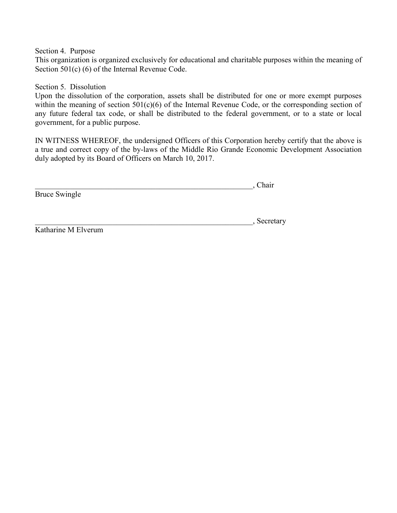Section 4. Purpose

This organization is organized exclusively for educational and charitable purposes within the meaning of Section 501(c) (6) of the Internal Revenue Code.

Section 5. Dissolution

Upon the dissolution of the corporation, assets shall be distributed for one or more exempt purposes within the meaning of section 501(c)(6) of the Internal Revenue Code, or the corresponding section of any future federal tax code, or shall be distributed to the federal government, or to a state or local government, for a public purpose.

IN WITNESS WHEREOF, the undersigned Officers of this Corporation hereby certify that the above is a true and correct copy of the by-laws of the Middle Rio Grande Economic Development Association duly adopted by its Board of Officers on March 10, 2017.

 $\overline{\phantom{a}}$  . Chair Bruce Swingle

\_\_\_\_\_\_\_\_\_\_\_\_\_\_\_\_\_\_\_\_\_\_\_\_\_\_\_\_\_\_\_\_\_\_\_\_\_\_\_\_\_\_\_\_\_\_\_\_\_\_\_\_\_\_\_\_, Secretary

Katharine M Elverum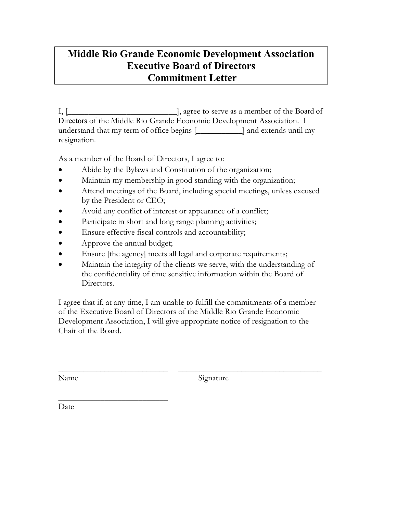## **Middle Rio Grande Economic Development Association Executive Board of Directors Commitment Letter**

I, [\_\_\_\_\_\_\_\_\_\_\_\_\_\_\_\_\_\_\_\_\_\_\_\_\_\_], agree to serve as a member of the Board of Directors of the Middle Rio Grande Economic Development Association. I understand that my term of office begins [\_\_\_\_\_\_\_\_\_\_\_] and extends until my resignation.

As a member of the Board of Directors, I agree to:

- Abide by the Bylaws and Constitution of the organization;
- Maintain my membership in good standing with the organization;
- Attend meetings of the Board, including special meetings, unless excused by the President or CEO;
- Avoid any conflict of interest or appearance of a conflict;
- Participate in short and long range planning activities;
- Ensure effective fiscal controls and accountability;
- Approve the annual budget;
- Ensure [the agency] meets all legal and corporate requirements;
- Maintain the integrity of the clients we serve, with the understanding of the confidentiality of time sensitive information within the Board of Directors.

I agree that if, at any time, I am unable to fulfill the commitments of a member of the Executive Board of Directors of the Middle Rio Grande Economic Development Association, I will give appropriate notice of resignation to the Chair of the Board.

\_\_\_\_\_\_\_\_\_\_\_\_\_\_\_\_\_\_\_\_\_\_\_\_\_\_ \_\_\_\_\_\_\_\_\_\_\_\_\_\_\_\_\_\_\_\_\_\_\_\_\_\_\_\_\_\_\_\_\_\_

Name Signature

\_\_\_\_\_\_\_\_\_\_\_\_\_\_\_\_\_\_\_\_\_\_\_\_\_\_ Date